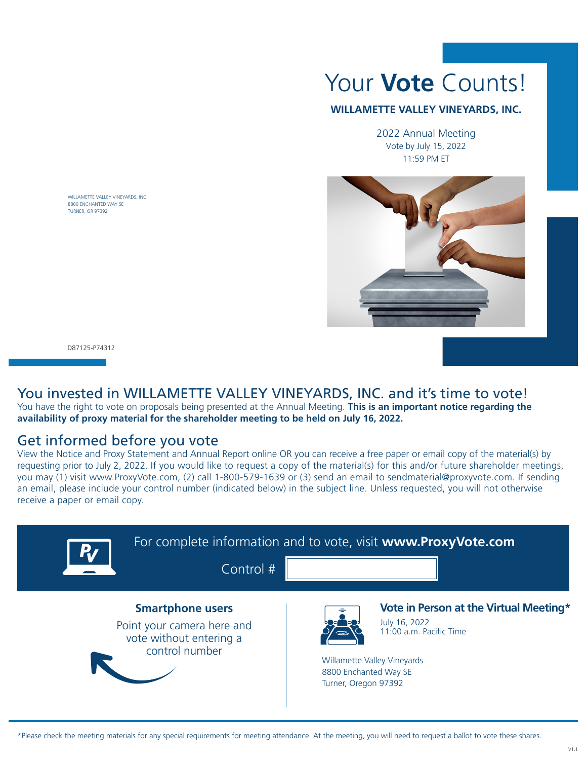

## **WILLAMETTE VALLEY VINEYARDS, INC.**

2022 Annual Meeting Vote by July 15, 2022 11:59 PM ET



WILLAMETTE VALLEY VINEYARDS, INC. 8800 ENCHANTED WAY SE TURNER, OR 97392

D87125-P74312

## You invested in WILLAMETTE VALLEY VINEYARDS, INC. and it's time to vote!

You have the right to vote on proposals being presented at the Annual Meeting. **This is an important notice regarding the availability of proxy material for the shareholder meeting to be held on July 16, 2022.**

## Get informed before you vote

View the Notice and Proxy Statement and Annual Report online OR you can receive a free paper or email copy of the material(s) by requesting prior to July 2, 2022. If you would like to request a copy of the material(s) for this and/or future shareholder meetings, you may (1) visit www.ProxyVote.com, (2) call 1-800-579-1639 or (3) send an email to sendmaterial@proxyvote.com. If sending an email, please include your control number (indicated below) in the subject line. Unless requested, you will not otherwise receive a paper or email copy.